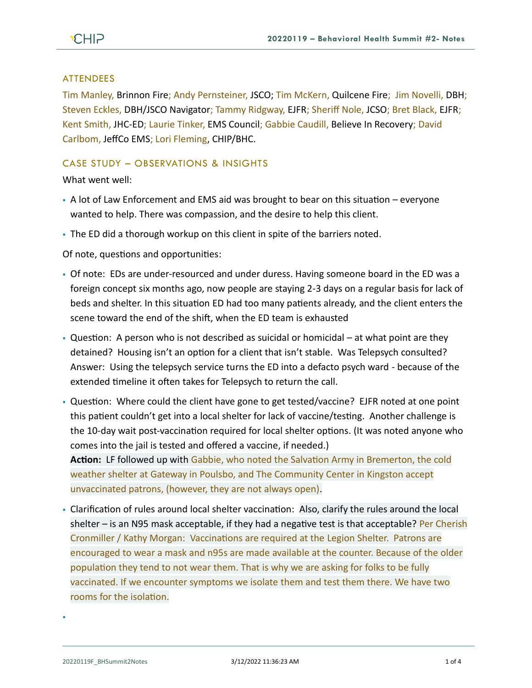### **ATTENDEES**

Tim Manley, Brinnon Fire; Andy Pernsteiner, JSCO; Tim McKern, Quilcene Fire; Jim Novelli, DBH; Steven Eckles, DBH/JSCO Navigator; Tammy Ridgway, EJFR; Sheriff Nole, JCSO; Bret Black, EJFR; Kent Smith, JHC-ED; Laurie Tinker, EMS Council; Gabbie Caudill, Believe In Recovery; David Carlbom, JeffCo EMS; Lori Fleming, CHIP/BHC.

## CASE STUDY – OBSERVATIONS & INSIGHTS

What went well:

- $\bullet$  A lot of Law Enforcement and EMS aid was brought to bear on this situation everyone wanted to help. There was compassion, and the desire to help this client.
- The ED did a thorough workup on this client in spite of the barriers noted.

Of note, questions and opportunities:

- Of note: EDs are under-resourced and under duress. Having someone board in the ED was a foreign concept six months ago, now people are staying 2-3 days on a regular basis for lack of beds and shelter. In this situation ED had too many patients already, and the client enters the scene toward the end of the shift, when the ED team is exhausted
- **Question:** A person who is not described as suicidal or homicidal  $-$  at what point are they detained? Housing isn't an option for a client that isn't stable. Was Telepsych consulted? Answer: Using the telepsych service turns the ED into a defacto psych ward - because of the extended timeline it often takes for Telepsych to return the call.
- Question: Where could the client have gone to get tested/vaccine? EJFR noted at one point this patient couldn't get into a local shelter for lack of vaccine/testing. Another challenge is the 10-day wait post-vaccination required for local shelter options. (It was noted anyone who comes into the jail is tested and offered a vaccine, if needed.)

**Action:** LF followed up with Gabbie, who noted the Salvation Army in Bremerton, the cold weather shelter at Gateway in Poulsbo, and The Community Center in Kingston accept unvaccinated patrons, (however, they are not always open).

• Clarification of rules around local shelter vaccination: Also, clarify the rules around the local shelter – is an N95 mask acceptable, if they had a negative test is that acceptable? Per Cherish Cronmiller / Kathy Morgan: Vaccinations are required at the Legion Shelter. Patrons are encouraged to wear a mask and n95s are made available at the counter. Because of the older population they tend to not wear them. That is why we are asking for folks to be fully vaccinated. If we encounter symptoms we isolate them and test them there. We have two rooms for the isolation.

▪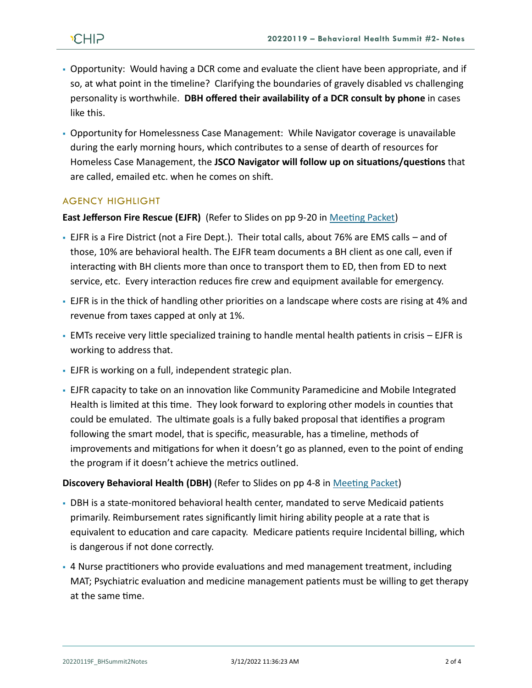- Opportunity: Would having a DCR come and evaluate the client have been appropriate, and if so, at what point in the timeline? Clarifying the boundaries of gravely disabled vs challenging personality is worthwhile. **DBH offered their availability of a DCR consult by phone** in cases like this.
- Opportunity for Homelessness Case Management: While Navigator coverage is unavailable during the early morning hours, which contributes to a sense of dearth of resources for Homeless Case Management, the **JSCO Navigator will follow up on situations/questions** that are called, emailed etc. when he comes on shift.

# AGENCY HIGHLIGHT

#### **East Jefferson Fire Rescue (EJFR)** (Refer to Slides on pp 9-20 in [Meeting Packet\)](https://www.behealthyjefferson.com/_files/ugd/2fdcdd_b587fa65bb384cef91bb0f392c6e713a.pdf)

- EJFR is a Fire District (not a Fire Dept.). Their total calls, about 76% are EMS calls and of those, 10% are behavioral health. The EJFR team documents a BH client as one call, even if interacting with BH clients more than once to transport them to ED, then from ED to next service, etc. Every interaction reduces fire crew and equipment available for emergency.
- EJFR is in the thick of handling other priorities on a landscape where costs are rising at 4% and revenue from taxes capped at only at 1%.
- EMTs receive very little specialized training to handle mental health patients in crisis EJFR is working to address that.
- EJFR is working on a full, independent strategic plan.
- EJFR capacity to take on an innovation like Community Paramedicine and Mobile Integrated Health is limited at this time. They look forward to exploring other models in counties that could be emulated. The ultimate goals is a fully baked proposal that identifies a program following the smart model, that is specific, measurable, has a timeline, methods of improvements and mitigations for when it doesn't go as planned, even to the point of ending the program if it doesn't achieve the metrics outlined.

#### **Discovery Behavioral Health (DBH)** (Refer to Slides on pp 4-8 in [Meeting Packet\)](https://www.behealthyjefferson.com/_files/ugd/2fdcdd_b587fa65bb384cef91bb0f392c6e713a.pdf)

- DBH is a state-monitored behavioral health center, mandated to serve Medicaid patients primarily. Reimbursement rates significantly limit hiring ability people at a rate that is equivalent to education and care capacity. Medicare patients require Incidental billing, which is dangerous if not done correctly.
- 4 Nurse practitioners who provide evaluations and med management treatment, including MAT; Psychiatric evaluation and medicine management patients must be willing to get therapy at the same time.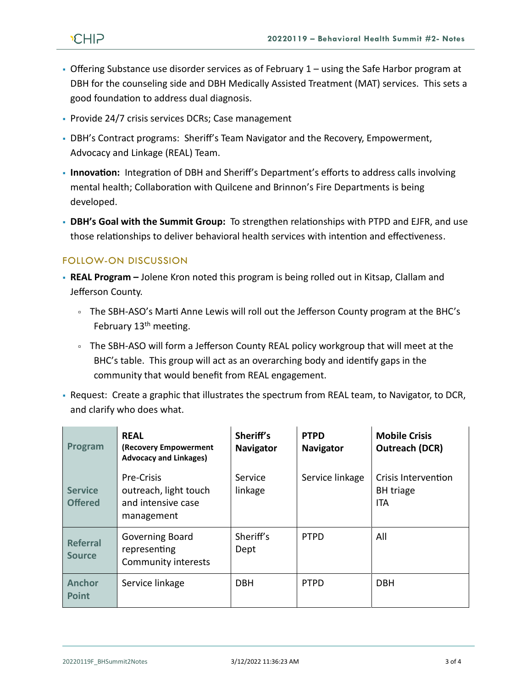- **Offering Substance use disorder services as of February 1 using the Safe Harbor program at** DBH for the counseling side and DBH Medically Assisted Treatment (MAT) services. This sets a good foundation to address dual diagnosis.
- Provide 24/7 crisis services DCRs; Case management
- DBH's Contract programs: Sheriff's Team Navigator and the Recovery, Empowerment, Advocacy and Linkage (REAL) Team.
- **Innovation:** Integration of DBH and Sheriff's Department's efforts to address calls involving mental health; Collaboration with Quilcene and Brinnon's Fire Departments is being developed.
- **DBH's Goal with the Summit Group:** To strengthen relationships with PTPD and EJFR, and use those relationships to deliver behavioral health services with intention and effectiveness.

# FOLLOW-ON DISCUSSION

- **· REAL Program** Jolene Kron noted this program is being rolled out in Kitsap, Clallam and Jefferson County.
	- The SBH-ASO's Marti Anne Lewis will roll out the Jefferson County program at the BHC's February  $13<sup>th</sup>$  meeting.
	- The SBH-ASO will form a Jefferson County REAL policy workgroup that will meet at the BHC's table. This group will act as an overarching body and identify gaps in the community that would benefit from REAL engagement.
- Request: Create a graphic that illustrates the spectrum from REAL team, to Navigator, to DCR, and clarify who does what.

| Program                          | <b>REAL</b><br>(Recovery Empowerment<br><b>Advocacy and Linkages)</b>   | Sheriff's<br><b>Navigator</b> | <b>PTPD</b><br><b>Navigator</b> | <b>Mobile Crisis</b><br><b>Outreach (DCR)</b>         |
|----------------------------------|-------------------------------------------------------------------------|-------------------------------|---------------------------------|-------------------------------------------------------|
| <b>Service</b><br><b>Offered</b> | Pre-Crisis<br>outreach, light touch<br>and intensive case<br>management | Service<br>linkage            | Service linkage                 | Crisis Intervention<br><b>BH</b> triage<br><b>ITA</b> |
| <b>Referral</b><br><b>Source</b> | <b>Governing Board</b><br>representing<br>Community interests           | Sheriff's<br>Dept             | <b>PTPD</b>                     | All                                                   |
| <b>Anchor</b><br><b>Point</b>    | Service linkage                                                         | <b>DBH</b>                    | <b>PTPD</b>                     | <b>DBH</b>                                            |